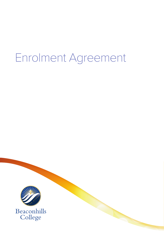# Enrolment Agreement

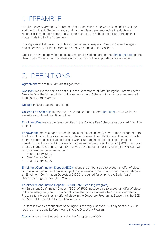### 1. PREAMBLE

This *Enrolment Agreement* (Agreement) is a legal contract between Beaconhills College and the Applicant. The terms and conditions in this Agreement outline the rights and responsibilities of each party. The College reserves the right to exercise discretion in all matters relating to this Agreement.

This Agreement aligns with our three core values of *Respect, Compassion* and *Integrity* and is necessary for the efficient and effective running of the College.

Details on how to apply for a place at Beaconhills College are on the [Enrolment page](https://www.beaconhills.vic.edu.au/enrolment/#how_to_enrol) of the Beaconhills College website. Please note that only online applications are accepted.

2. DEFINITIONS

Agreement means this *Enrolment Agreement*.

Applicant means the person/s set out in the Acceptance of Offer being the Parents and/or Guardian/s of the Student listed in the Acceptance of Offer and if more than one, each of them jointly and severally.

College means Beaconhills College.

College Fee Schedule means the fee schedule found under [Enrolment](https://www.beaconhills.vic.edu.au/enrolment/#enrolment_fees) on the College's website as updated from time to time.

Enrolment Fee means the fees specified in the College Fee Schedule as updated from time to time.

Endowment means a non-refundable payment that each family pays to the College prior to the first child attending. Components of the endowment contribution are directed towards a range of programs, including building works, upgrading of facilities and technology infrastructure. It is a condition of entry that the endowment contribution of \$800 is paid prior to entry, students entering Years 10 – 12 who have no other siblings joining the College, will pay a pro-rata endowment amount:

- Year 10 entry, \$600
- Year 11 entry, \$400
- Year 12 entry, \$200

Enrolment Confirmation Deposit (ECD) means the amount paid to accept an offer of place. To confirm acceptance of place, subject to interview with the Campus Principal or delegate, an Enrolment Confirmation Deposit of \$1000 is required for entry to the Early Years' Discovery Program through to Year 12.

#### Enrolment Confirmation Deposit – Child Care (Seedling Program)

An Enrolment Confirmation Deposit (ECD) of \$500 must be paid to accept an offer of place in the Seedling Program. This amount is credited to tuition fees when the Student starts Prep. If a family declines an offer of place in the Discovery Program at Beaconhills the ECD of \$500 will be credited to their final account.

For families who continue from Seedling to Discovery, a second ECD payment of \$500 is required in the June before moving into the Discovery Program.

Student means the Student named in the Acceptance of Offer.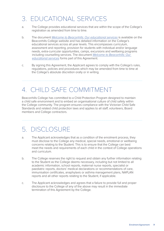# 3. EDUCATIONAL SERVICES

- a. The College provides educational services that are within the scope of the College's registration as amended from time to time.
- b. The document *[Welcome to Beaconhills: Our educational services](https://www.beaconhills.vic.edu.au/app/uploads/2021/05/Welcome-to-Beaconhills.pdf)* is available on the Beaconhills College website and has detailed information on the College's educational services across all year levels. This encompasses curriculum, assessment and reporting, provision for students with individual and/or language needs, extra-curricular opportunities, camps, excursions and wellbeing programs including counselling services. The document *[Welcome to Beaconhills: Our](https://www.beaconhills.vic.edu.au/app/uploads/2021/05/Welcome-to-Beaconhills.pdf)  [educational services](https://www.beaconhills.vic.edu.au/app/uploads/2021/05/Welcome-to-Beaconhills.pdf)* forms part of this Agreement.
- c. By signing this Agreement, the Applicant agrees to comply with the College's rules, regulations, policies and procedures which may be amended from time to time at the College's absolute discretion orally or in writing.

# 4. CHILD SAFE COMMITMENT

Beaconhills College has committed to a Child Protection Program designed to maintain a child safe environment and to embed an organisational culture of child safety within the College community. The program ensures compliance with the Victorian Child Safe Standards and related child protection laws and applies to all staff, volunteers, Board members and College contractors.

5. DISCLOSURE

- a. The Applicant acknowledges that as a condition of the enrolment process, they must disclose to the College any medical, special needs, emotional or wellbeing concerns relating to the Student. This is to ensure that the College can best meet the needs and requirements of each child in the context of College operations and curriculum.
- b. The College reserves the right to request and obtain any further information relating to the Student as the College deems necessary, including but not limited to all academic information, school reports, maternal nurse reports, specialist or paediatric reports, doctors' medical declarations or recommendations of care, immunisation certificates, anaphylaxis or asthma management plans, NAPLAN reports and all other reports relating to the Student, if applicable.
- c. The Applicant acknowledges and agrees that a failure to provide full and proper disclosure to the College of any of the above may result in the immediate termination of this Agreement by the College.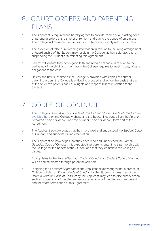### 6. COURT ORDERS AND PARENTING PLANS

- a. The Applicant is required and hereby agrees to provide copies of all existing court or parenting orders at the time of enrolment and during the period of enrolment. The College will make best endeavours to adhere and comply with such orders.
- b. The provision of false or misleading information in relation to the living arrangement or guardianship of the Student may result in the College, at their sole discretion, suspending the Student or terminating this Agreement.
- c. Parents will ensure they act in good faith and remain amicable in relation to the wellbeing of the child, and information the College requires to meet its duty of care obligations to the child.
- d. Unless and until such time as the College is provided with copies of court or parenting orders, the College is entitled to proceed and act on the basis that each of the Student's parents has equal rights and responsibilities in relation to the Student.

### 7. CODES OF CONDUCT

- a. The College's *Parent/Guardian Code of Conduct* and *Student Code of Conduct* are [available here](https://www.beaconhills.vic.edu.au/policies/) on the College website and the BeaconNet portal. Both the *Parent/ Guardian Code of Conduct* and the *Student Code of Conduct* form part of this Agreement.
- b. The Applicant acknowledges that they have read and understood the *Student Code of Conduct* and supports its implementation.
- c. The Applicant acknowledges that they have read and understood the *Parent/ Guardian Code of Conduct*. It is expected that parents enter into a partnership with the College for the benefit of the Student and that they commit to the College's values.
- d. Any updates to the *Parent/Guardian Code of Conduct* or *Student Code of Conduct*  will be communicated through parent newsletters.
- e. In signing the *Enrolment Agreement*, the Applicant acknowledges that a breach of College policies or *Student Code of Conduct* by the Student, or breaches of the *Parent/Guardian Code of Conduct* by the Applicant, may lead to disciplinary action, such as suspension of the Student and/or termination of the Student's enrolment and therefore termination of this Agreement.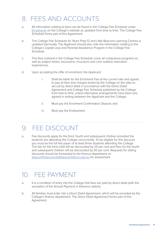### 8. FEES AND ACCOUNTS

- a. All information relating to fees can be found in the College Fee Schedule under [Enrolments](https://www.beaconhills.vic.edu.au/enrolment/#enrolment_fees) on the College's website as updated from time to time. The College Fee Schedule forms part of this Agreement.
- b. The College Fee Schedule for Years Prep-12 and Little Beacons Learning Centres is updated biannually. The Applicant should also note the information relating to the College's Capital Levy and Parental Assistance Program in the College Fee Schedule.
- c. The fees outlined in the College Fee Schedule cover all compulsory programs as well as subject levies, excursions, incursions and core outdoor education experiences.
- d. Upon accepting the offer of enrolment, the Applicant:
	- i. Shall be liable for the Enrolment Fee at the current rate and agrees to pay all fees and charges levied by the College on the date as set out by direct debit in accordance with the Direct Debit Agreement and College Fee Schedule published by the College from time to time, unless alternative arrangements have been pre agreed in writing between the Applicant and the College;
	- ii. Must pay the Enrolment Confirmation Deposit; and
	- iii. Must pay the Endowment.

### 9. FEE DISCOUNT

a. Fee discounts apply for the third, fourth and subsequent children provided the students are attending the College concurrently. To be eligible for this discount you must be the full fee payer of at least three students attending the College. The fee for the third child will be discounted by 25 per cent and fees for the fourth and subsequent children will be discounted by 50 per cent. Requests for sibling discounts should be forwarded to the finance department on [beaconhillsaccounts@beaconhills.vic.edu.au](mailto:beaconhillsaccounts%40beaconhills.vic.edu.au?subject=Sibling%20discount) for assessment.

### 10. FEE PAYMENT

- a. It is a condition of entry into the College that fees are paid by direct debit (with the exception of the Annual Payment in Advance option).
- b. All families must enter into a *Direct Debit Agreement*, which will be provided by the College's finance department. The *Direct Debit Agreement* forms part of this Agreement.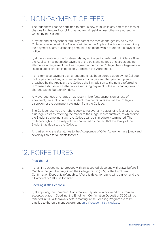### 11. NON-PAYMENT OF FEES

- a. The Student will not be permitted to enter a new term while any part of the fees or charges for the previous billing period remain paid, unless otherwise agreed in writing by the College.
- b. If, by the end of any school term, any part of the fees or charges levied by the College remain unpaid, the College will issue the Applicant with a notice requiring the payment of any outstanding amount to be made within fourteen (14) days of the notice.
- c. If, at the expiration of the fourteen (14) day notice period referred to in Clause 11 (a), the Applicant has not made payment of the outstanding fees or charges and no alternative arrangement has been agreed upon by the College, the College may in its absolute discretion immediately terminate this Agreement.
- d. If an alternative payment plan arrangement has been agreed upon by the College for the payment of any outstanding fees or charges and that payment plan is breached by the Applicant, the College shall, in addition to the notice referred to in Clause 11 (b), issue a further notice requiring payment of the outstanding fees or charges within fourteen (14) days.
- e. Any overdue fees or charges may result in late fees, suspension or loss of enrolment, the exclusion of the Student from certain activities at the College's discretion or the permanent exclusion from the College.
- f. The College reserves the right to seek to recover any outstanding fees or charges plus legal costs by referring the matter to their legal representatives, at which time the Student's enrolment with the College will be immediately terminated. The College's rights in this respect are unaffected by the fact that the family of the Student has departed the College.
- g. All parties who are signatories to the Acceptance of Offer Agreement are jointly and severally liable for all debts for fees.

12. FORFEITURES

#### Prep-Year 12

a. If a family decides not to proceed with an accepted place and withdraws before 31 March in the year before joining the College, \$500 (50%) of the Enrolment Confirmation Deposit is refundable. After this date, no refund will be given and the full amount of \$1000 is forfeited.

#### Seedling (Little Beacons)

b. If, after paying the Enrolment Confirmation Deposit, a family withdraws from an accepted place in Seedling, the Enrolment Confirmation Deposit of \$500 will be forfeited in full. Withdrawals before starting in the Seedling Program are to be emailed to the enrolment department [enrol@beaconhills.vic.edu.au.](mailto:enrol%40beaconhills.vic.edu.au?subject=Withdrawls%20before%20starting%20Seedling%20Program)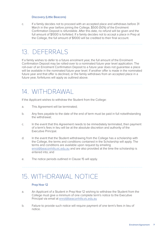#### Discovery (Little Beacons)

c. If a family decides not to proceed with an accepted place and withdraws before 31 March in the year before joining the College, \$500 (50%) of the Enrolment Confirmation Deposit is refundable. After this date, no refund will be given and the full amount of \$1000 is forfeited. If a family decides not to accept a place in Prep at the College, the full amount of \$1000 will be credited to their final account.

### 13. DEFERRALS

If a family wishes to defer to a future enrolment year, the full amount of the Enrolment Confirmation Deposit may be rolled-over to a nominated future year level application. The roll-over of an Enrolment Confirmation Deposit to a future year does not guarantee a place will be available in the nominated future year level. If another offer is made in the nominated future year and that offer is declined, or the family withdraws from an accepted place in a future year, forfeitures will apply as outlined above.

### 14. WITHDRAWAL

If the Applicant wishes to withdraw the Student from the College:

- a. This Agreement will be terminated;
- b. Any fees payable to the date of the end of term must be paid in full notwithstanding the withdrawal;
- c. In the event that this Agreement needs to be immediately terminated, then payment of a term's fees in lieu will be at the absolute discretion and authority of the Executive Principal.
- d. In the event that the Student withdrawing from the College has a scholarship with the College, the terms and conditions contained in the Scholarship will apply. The terms and conditions are available upon request by emailing [enrol@beaconhills.vic.edu.au](mailto:enrol%40beaconhills.vic.edu.au?subject=Scholarship%20terms%20and%20conditions) and are also provided at the time the scholarship is entered into; and
- e. The notice periods outlined in Clause 15 will apply.

### 15. WITHDRAWAL NOTICE

#### Prep-Year 12

- a. An Applicant of a Student in Prep-Year 12 wishing to withdraw the Student from the College must give a minimum of one complete term's notice to the Executive Principal via email at [enrol@beaconhills.vic.edu.au](mailto:enrol%40beaconhills.vic.edu.au?subject=one%20complete%20term%27s%20notice)
- b. Failure to provide such notice will require payment of one term's fees in lieu of notice.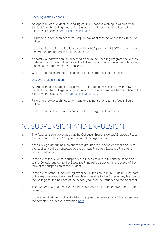#### Seedling (Little Beacons)

- a. An Applicant of a Student in Seedling at Little Beacons wishing to withdraw the Student from the College must give a minimum of three weeks' notice to the Executive Principal at [enrol@beaconhills.vic.edu.au](mailto:enrol%40beaconhills.vic.edu.au?subject=three%20weeks%27%20notice%20%28Seedling%29)
- b. Failure to provide such notice will require payment of three weeks fees in lieu of notice.
- c. If the required notice period is provided the ECD payment of \$500 is refundable and will be credited against outstanding fees.
- d. If a family withdraws from an accepted place in the Seedling Program and wishes to defer to a future enrolment year, the full amount of the ECD may be rolled-over to a nominated future year level application.
- e. Childcare benefits are not claimable for fees charged in lieu of notice.

#### Discovery (Little Beacons)

- a. An Applicant of a Student in Discovery at Little Beacons wishing to withdraw the Student from the College must give a minimum of one complete term's notice to the Executive Principal at [enrol@beaconhills.vic.edu.au](mailto:enrol%40beaconhills.vic.edu.au?subject=one%20complete%20term%E2%80%99s%20notice%20%28Discovery%20Program%29)
- b. Failure to provide such notice will require payment of one term's fees in lieu of notice.
- c. Childcare benefits are not claimable for fees charged in lieu of notice.

### 16. SUSPENSION AND EXPULSION

- a. The Applicant acknowledges that the College's *Suspension and Expulsion Policy* and *Student Discipline Policy* forms part of this Agreement.
- b. If the College determines that there are grounds to suspend or expel a Student, the Applicant will be contacted by the campus Principal, Executive Principal or Business Manager.
- c. In the event the Student is suspended, all fees are due in full and must be paid to the College, subject to the Executive Principal's discretion, irrespective of the term of the suspension of the Student.
- d. In the event of the Student being expelled, all fees are due in full up until the date of the expulsion and becomes immediately payable to the College. Any fees paid to the College for the balance of the school year shall be refunded to the Applicant.
- e. The *Suspension and Expulsion Policy* is available on the BeaconNet Portal or upon request.
- f. In the event that the Applicant wishes to appeal the termination of this Agreement, the complaints process is available [here](https://www.beaconhills.vic.edu.au/policies/)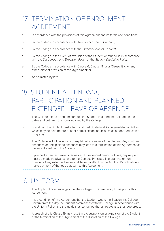## 17. TERMINATION OF ENROLMENT AGREEMENT

- a. In accordance with the provisions of this Agreement and its terms and conditions;
- b. By the College in accordance with the *Parent Code of Conduct*;
- c. By the College in accordance with the *Student Code of Conduct*;
- d. By the College in the event of expulsion of the Student or otherwise in accordance with the *Suspension and Expulsion Policy* or the *Student Discipline Policy*;
- e. By the College in accordance with Clause 6, Clause 18 (c) or Clause 19(c) or any other relevant provision of this Agreement; or
- f. As permitted by law.

# 18. STUDENT ATTENDANCE, PARTICIPATION AND PLANNED EXTENDED LEAVE OF ABSENCE

- a. The College expects and encourages the Student to attend the College on the dates and between the hours advised by the College.
- b. In addition, the Student must attend and participate in all College-related activities which may be held before or after normal school hours such as outdoor education programs.
- c. The College will follow up any unexplained absences of the Student. Any continued absences or unexplained absences may lead to a termination of this Agreement at the sole discretion of the College.
- d. If planned extended leave is requested for extended periods of time, any request must be made in advance and to the Campus Principal. The granting or nongranting of any extended leave shall have no affect on the Applicant's obligation to make payment of the fees pursuant to this Agreement.

### 19. UNIFORM

- a. The Applicant acknowledges that the College's Uniform Policy forms part of this Agreement.
- b. It is a condition of this Agreement that the Student wears the Beaconhills College uniform from the day the Student commences with the College in accordance with the Uniform Policy and the guidelines contained therein relevant to their age group.
- c. A breach of this Clause 19 may result in the suspension or expulsion of the Student or the termination of this Agreement at the discretion of the College.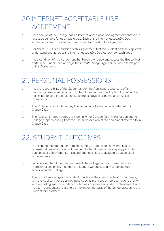# 20.INTERNET ACCEPTABLE USE AGREEMENT

- a. Each section of the College has an Internet *Acceptable Use Agreement* phrased in language suitable for each age group. Each of the Internet *Acceptable Use Agreements* are distributed to parents and form part of this Agreement.
- b. For Years 3-12, it is a condition of this Agreement that the Student and the Applicant understand and agree to the Internet *Acceptable Use Agreement* each year.
- c. It is a condition of this Agreement that Parents who use and access the BeaconNet portal read, understand and sign the *Parental Usage Agreement*, which forms part of this Agreement.

### 21. PERSONAL POSSESSIONS

- a. It is the responsibility of the Student and/or the Applicant to take care of any personal possessions belonging to the Student and/or the Applicant including but not limited to sporting equipment, electronic devices, clothing and musical instruments.
- b. The College is not liable for any loss or damage to the property referred to in Clause 21(a).
- c. The Applicant hereby agrees to indemnify the College for any loss or damage to College property arising from the use or possession of the equipment referred to in Clause 21(a).

### 22. STUDENT OUTCOMES

- a. In accepting the Student for enrolment, the College makes no warranties or representations of any kind with respect to the Student achieving any particular outcomes or achievements, including but not limited to academic outcomes or achievements.
- b. In accepting the Student for enrolment, the College makes no warranties or representations of any kind that the Student will successfully complete their schooling at the College.

The School encourages the Student to achieve their personal best by partnering with the Applicant but does not make specific promises or representations of any kind regarding specific academic outcomes or individual student achievement, and no such representations are to be implied on the basis of the School accepting the Student for enrolment.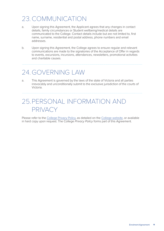# 23.COMMUNICATION

- a. Upon signing this Agreement, the Applicant agrees that any changes in contact details, family circumstances or Student wellbeing/medical details are communicated to the College. Contact details include but are not limited to, first name, surname, residential and postal address, phone numbers and email addresses.
- b. Upon signing this Agreement, the College agrees to ensure regular and relevant communications are made to the signatories of the Acceptance of Offer in regards to events, excursions, incursions, attendances, newsletters, promotional activities and charitable causes.

### 24. GOVERNING LAW

a. This Agreement is governed by the laws of the state of Victoria and all parties irrevocably and unconditionally submit to the exclusive jurisdiction of the courts of Victoria.

### 25.PERSONAL INFORMATION AND PRIVACY

Please refer to the [College Privacy Policy](https://www.beaconhills.vic.edu.au/privacy/), as detailed on the [College website](https://www.beaconhills.vic.edu.au/privacy/), or available in hard copy upon request. The College *Privacy Policy* forms part of this Agreement.